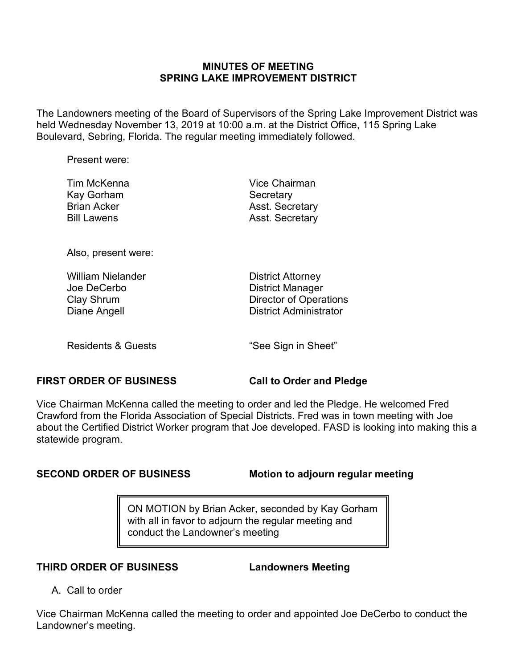### **MINUTES OF MEETING SPRING LAKE IMPROVEMENT DISTRICT**

The Landowners meeting of the Board of Supervisors of the Spring Lake Improvement District was held Wednesday November 13, 2019 at 10:00 a.m. at the District Office, 115 Spring Lake Boulevard, Sebring, Florida. The regular meeting immediately followed.

Present were:

| Tim McKenna        | Vice Chairman          |
|--------------------|------------------------|
| Kay Gorham         | Secretary              |
| <b>Brian Acker</b> | <b>Asst. Secretary</b> |
| <b>Bill Lawens</b> | Asst. Secretary        |
|                    |                        |

Also, present were:

| <b>William Nielander</b> | <b>District Attorney</b>      |
|--------------------------|-------------------------------|
| Joe DeCerbo              | <b>District Manager</b>       |
| Clay Shrum               | <b>Director of Operations</b> |
| Diane Angell             | <b>District Administrator</b> |
|                          |                               |

Residents & Guests The See Sign in Sheet"

## **FIRST ORDER OF BUSINESS Call to Order and Pledge**

Vice Chairman McKenna called the meeting to order and led the Pledge. He welcomed Fred Crawford from the Florida Association of Special Districts. Fred was in town meeting with Joe about the Certified District Worker program that Joe developed. FASD is looking into making this a statewide program.

**SECOND ORDER OF BUSINESS Motion to adjourn regular meeting**

ON MOTION by Brian Acker, seconded by Kay Gorham with all in favor to adjourn the regular meeting and conduct the Landowner's meeting

**THIRD ORDER OF BUSINESS Landowners Meeting**

A. Call to order

Vice Chairman McKenna called the meeting to order and appointed Joe DeCerbo to conduct the Landowner's meeting.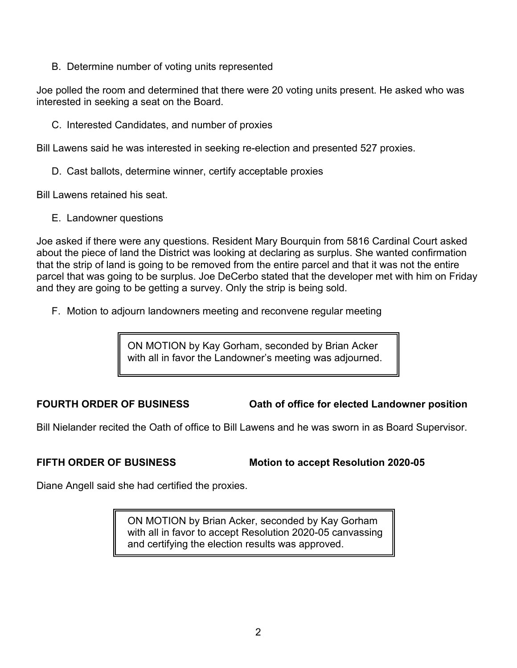B. Determine number of voting units represented

Joe polled the room and determined that there were 20 voting units present. He asked who was interested in seeking a seat on the Board.

C. Interested Candidates, and number of proxies

Bill Lawens said he was interested in seeking re-election and presented 527 proxies.

D. Cast ballots, determine winner, certify acceptable proxies

Bill Lawens retained his seat.

E. Landowner questions

Joe asked if there were any questions. Resident Mary Bourquin from 5816 Cardinal Court asked about the piece of land the District was looking at declaring as surplus. She wanted confirmation that the strip of land is going to be removed from the entire parcel and that it was not the entire parcel that was going to be surplus. Joe DeCerbo stated that the developer met with him on Friday and they are going to be getting a survey. Only the strip is being sold.

F. Motion to adjourn landowners meeting and reconvene regular meeting

ON MOTION by Kay Gorham, seconded by Brian Acker with all in favor the Landowner's meeting was adjourned.

**FOURTH ORDER OF BUSINESS Oath of office for elected Landowner position**

Bill Nielander recited the Oath of office to Bill Lawens and he was sworn in as Board Supervisor.

**FIFTH ORDER OF BUSINESS Motion to accept Resolution 2020-05**

Diane Angell said she had certified the proxies.

ON MOTION by Brian Acker, seconded by Kay Gorham with all in favor to accept Resolution 2020-05 canvassing and certifying the election results was approved.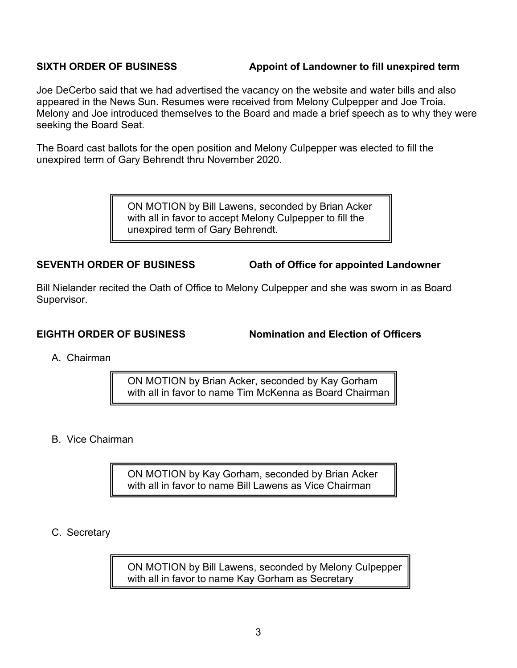## **SIXTH ORDER OF BUSINESS Appoint of Landowner to fill unexpired term**

Joe DeCerbo said that we had advertised the vacancy on the website and water bills and also appeared in the News Sun. Resumes were received from Melony Culpepper and Joe Troia. Melony and Joe introduced themselves to the Board and made a brief speech as to why they were seeking the Board Seat.

The Board cast ballots for the open position and Melony Culpepper was elected to fill the unexpired term of Gary Behrendt thru November 2020.

> ON MOTION by Bill Lawens, seconded by Brian Acker with all in favor to accept Melony Culpepper to fill the unexpired term of Gary Behrendt.

**SEVENTH ORDER OF BUSINESS Oath of Office for appointed Landowner**

Bill Nielander recited the Oath of Office to Melony Culpepper and she was sworn in as Board Supervisor.

**EIGHTH ORDER OF BUSINESS Nomination and Election of Officers**

A. Chairman

ON MOTION by Brian Acker, seconded by Kay Gorham with all in favor to name Tim McKenna as Board Chairman

B. Vice Chairman

ON MOTION by Kay Gorham, seconded by Brian Acker with all in favor to name Bill Lawens as Vice Chairman

C. Secretary

ON MOTION by Bill Lawens, seconded by Melony Culpepper with all in favor to name Kay Gorham as Secretary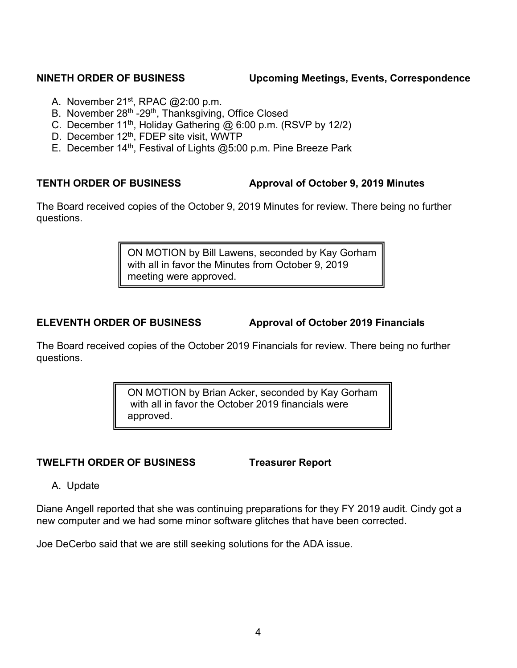## **NINETH ORDER OF BUSINESS Upcoming Meetings, Events, Correspondence**

- A. November  $21^{st}$ , RPAC  $@2:00$  p.m.
- B. November 28<sup>th</sup> -29<sup>th</sup>, Thanksgiving, Office Closed
- C. December 11th, Holiday Gathering @ 6:00 p.m. (RSVP by 12/2)
- D. December 12<sup>th</sup>, FDEP site visit, WWTP
- E. December 14<sup>th</sup>, Festival of Lights @5:00 p.m. Pine Breeze Park

## **TENTH ORDER OF BUSINESS Approval of October 9, 2019 Minutes**

The Board received copies of the October 9, 2019 Minutes for review. There being no further questions.

> ON MOTION by Bill Lawens, seconded by Kay Gorham with all in favor the Minutes from October 9, 2019 meeting were approved.

**ELEVENTH ORDER OF BUSINESS Approval of October 2019 Financials**

The Board received copies of the October 2019 Financials for review. There being no further questions.

> ON MOTION by Brian Acker, seconded by Kay Gorham with all in favor the October 2019 financials were approved.

# **TWELFTH ORDER OF BUSINESS Treasurer Report**

A. Update

Diane Angell reported that she was continuing preparations for they FY 2019 audit. Cindy got a new computer and we had some minor software glitches that have been corrected.

Joe DeCerbo said that we are still seeking solutions for the ADA issue.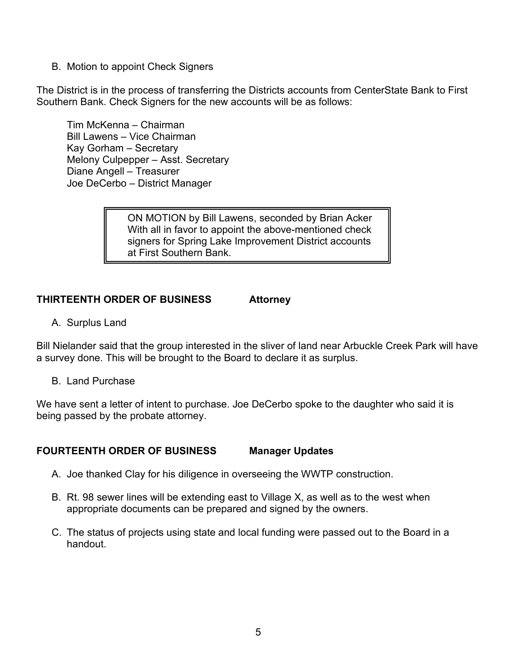B. Motion to appoint Check Signers

The District is in the process of transferring the Districts accounts from CenterState Bank to First Southern Bank. Check Signers for the new accounts will be as follows:

Tim McKenna – Chairman Bill Lawens – Vice Chairman Kay Gorham – Secretary Melony Culpepper – Asst. Secretary Diane Angell – Treasurer Joe DeCerbo – District Manager

> ON MOTION by Bill Lawens, seconded by Brian Acker With all in favor to appoint the above-mentioned check signers for Spring Lake Improvement District accounts at First Southern Bank.

## **THIRTEENTH ORDER OF BUSINESS Attorney**

A. Surplus Land

Bill Nielander said that the group interested in the sliver of land near Arbuckle Creek Park will have a survey done. This will be brought to the Board to declare it as surplus.

B. Land Purchase

We have sent a letter of intent to purchase. Joe DeCerbo spoke to the daughter who said it is being passed by the probate attorney.

## **FOURTEENTH ORDER OF BUSINESS Manager Updates**

- A. Joe thanked Clay for his diligence in overseeing the WWTP construction.
- B. Rt. 98 sewer lines will be extending east to Village X, as well as to the west when appropriate documents can be prepared and signed by the owners.
- C. The status of projects using state and local funding were passed out to the Board in a handout.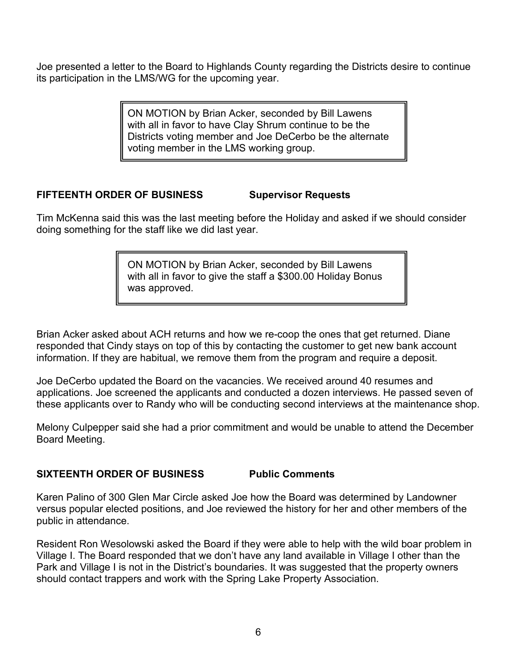Joe presented a letter to the Board to Highlands County regarding the Districts desire to continue its participation in the LMS/WG for the upcoming vear.

> ON MOTION by Brian Acker, seconded by Bill Lawens with all in favor to have Clay Shrum continue to be the Districts voting member and Joe DeCerbo be the alternate voting member in the LMS working group.

# **FIFTEENTH ORDER OF BUSINESS Supervisor Requests**

Tim McKenna said this was the last meeting before the Holiday and asked if we should consider doing something for the staff like we did last year.

> ON MOTION by Brian Acker, seconded by Bill Lawens with all in favor to give the staff a \$300.00 Holiday Bonus was approved.

Brian Acker asked about ACH returns and how we re-coop the ones that get returned. Diane responded that Cindy stays on top of this by contacting the customer to get new bank account information. If they are habitual, we remove them from the program and require a deposit.

Joe DeCerbo updated the Board on the vacancies. We received around 40 resumes and applications. Joe screened the applicants and conducted a dozen interviews. He passed seven of these applicants over to Randy who will be conducting second interviews at the maintenance shop.

Melony Culpepper said she had a prior commitment and would be unable to attend the December Board Meeting.

## **SIXTEENTH ORDER OF BUSINESS Public Comments**

Karen Palino of 300 Glen Mar Circle asked Joe how the Board was determined by Landowner versus popular elected positions, and Joe reviewed the history for her and other members of the public in attendance.

Resident Ron Wesolowski asked the Board if they were able to help with the wild boar problem in Village I. The Board responded that we don't have any land available in Village I other than the Park and Village I is not in the District's boundaries. It was suggested that the property owners should contact trappers and work with the Spring Lake Property Association.